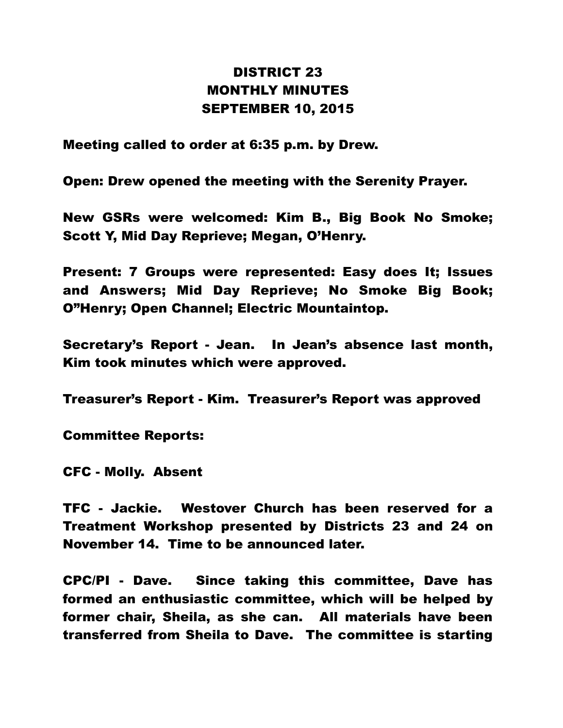## DISTRICT 23 MONTHLY MINUTES SEPTEMBER 10, 2015

Meeting called to order at 6:35 p.m. by Drew.

Open: Drew opened the meeting with the Serenity Prayer.

New GSRs were welcomed: Kim B., Big Book No Smoke; Scott Y, Mid Day Reprieve; Megan, O'Henry.

Present: 7 Groups were represented: Easy does It; Issues and Answers; Mid Day Reprieve; No Smoke Big Book; O"Henry; Open Channel; Electric Mountaintop.

Secretary's Report - Jean. In Jean's absence last month, Kim took minutes which were approved.

Treasurer's Report - Kim. Treasurer's Report was approved

Committee Reports:

CFC - Molly. Absent

TFC - Jackie. Westover Church has been reserved for a Treatment Workshop presented by Districts 23 and 24 on November 14. Time to be announced later.

CPC/PI - Dave. Since taking this committee, Dave has formed an enthusiastic committee, which will be helped by former chair, Sheila, as she can. All materials have been transferred from Sheila to Dave. The committee is starting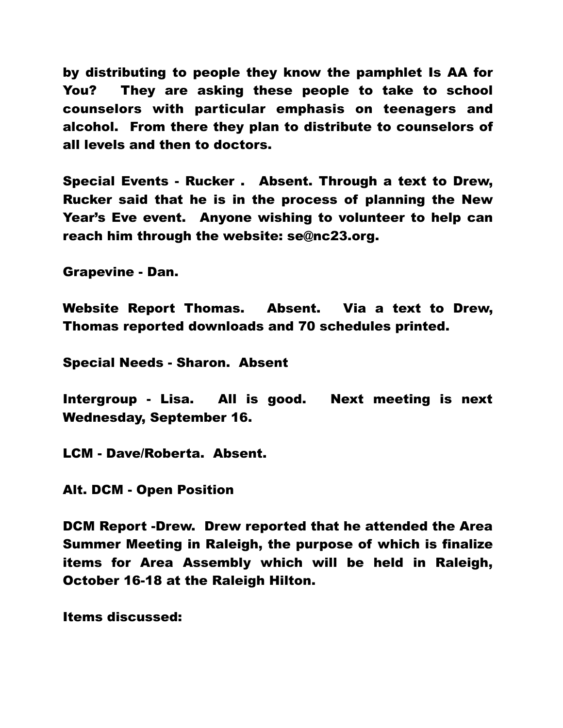by distributing to people they know the pamphlet Is AA for You? They are asking these people to take to school counselors with particular emphasis on teenagers and alcohol. From there they plan to distribute to counselors of all levels and then to doctors.

Special Events - Rucker . Absent. Through a text to Drew, Rucker said that he is in the process of planning the New Year's Eve event. Anyone wishing to volunteer to help can reach him through the website: se@nc23.org.

Grapevine - Dan.

Website Report Thomas. Absent. Via a text to Drew, Thomas reported downloads and 70 schedules printed.

Special Needs - Sharon. Absent

Intergroup - Lisa. All is good. Next meeting is next Wednesday, September 16.

LCM - Dave/Roberta. Absent.

Alt. DCM - Open Position

DCM Report -Drew. Drew reported that he attended the Area Summer Meeting in Raleigh, the purpose of which is finalize items for Area Assembly which will be held in Raleigh, October 16-18 at the Raleigh Hilton.

Items discussed: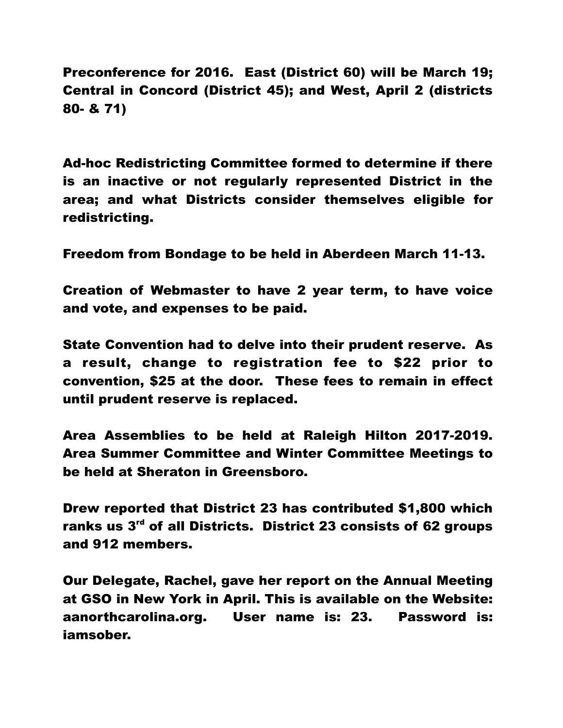Preconference for 2016. East (District 60) will be March 19; Central in Concord (District 45); and West, April 2 (districts 80- & 71)

Ad-hoc Redistricting Committee formed to determine if there is an inactive or not regularly represented District in the area; and what Districts consider themselves eligible for redistricting.

Freedom from Bondage to be held in Aberdeen March 11-13.

Creation of Webmaster to have 2 year term, to have voice and vote, and expenses to be paid.

State Convention had to delve into their prudent reserve. As a result, change to registration fee to \$22 prior to convention, \$25 at the door. These fees to remain in effect until prudent reserve is replaced.

Area Assemblies to be held at Raleigh Hilton 2017-2019. Area Summer Committee and Winter Committee Meetings to be held at Sheraton in Greensboro.

Drew reported that District 23 has contributed \$1,800 which ranks us 3<sup>rd</sup> of all Districts. District 23 consists of 62 groups and 912 members.

Our Delegate, Rachel, gave her report on the Annual Meeting at GSO in New York in April. This is available on the Website: aanorthcarolina.org. User name is: 23. Password is: iamsober.